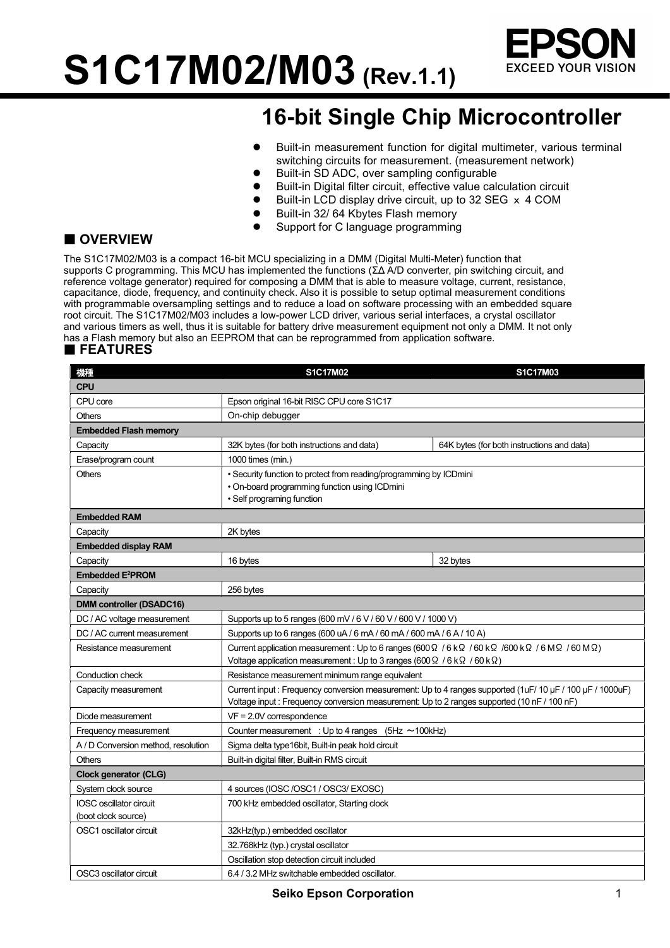S1C17M02/M03 (Rev.1.1)



### 16-bit Single Chip Microcontroller

- Built-in measurement function for digital multimeter, various terminal switching circuits for measurement. (measurement network)
- Built-in SD ADC, over sampling configurable
- Built-in Digital filter circuit, effective value calculation circuit
- Built-in LCD display drive circuit, up to 32 SEG x 4 COM
- Built-in 32/ 64 Kbytes Flash memory
- Support for C language programming

### **OVERVIEW**

The S1C17M02/M03 is a compact 16-bit MCU specializing in a DMM (Digital Multi-Meter) function that supports C programming. This MCU has implemented the functions (ΣΔ A/D converter, pin switching circuit, and reference voltage generator) required for composing a DMM that is able to measure voltage, current, resistance, capacitance, diode, frequency, and continuity check. Also it is possible to setup optimal measurement conditions with programmable oversampling settings and to reduce a load on software processing with an embedded square root circuit. The S1C17M02/M03 includes a low-power LCD driver, various serial interfaces, a crystal oscillator and various timers as well, thus it is suitable for battery drive measurement equipment not only a DMM. It not only has a Flash memory but also an EEPROM that can be reprogrammed from application software.

#### **FEATURES**

| 模型                                  | <b>S1C17M02</b>                                                                                                                                                                                                                                   | <b>S1C17M03</b>                            |  |  |
|-------------------------------------|---------------------------------------------------------------------------------------------------------------------------------------------------------------------------------------------------------------------------------------------------|--------------------------------------------|--|--|
| <b>CPU</b>                          |                                                                                                                                                                                                                                                   |                                            |  |  |
| CPU core                            | Epson original 16-bit RISC CPU core S1C17                                                                                                                                                                                                         |                                            |  |  |
| <b>Others</b>                       | On-chip debugger                                                                                                                                                                                                                                  |                                            |  |  |
| <b>Embedded Flash memory</b>        |                                                                                                                                                                                                                                                   |                                            |  |  |
| Capacity                            | 32K bytes (for both instructions and data)                                                                                                                                                                                                        | 64K bytes (for both instructions and data) |  |  |
| Erase/program count                 | 1000 times (min.)                                                                                                                                                                                                                                 |                                            |  |  |
| <b>Others</b>                       | • Security function to protect from reading/programming by ICDmini<br>. On-board programming function using ICDmini<br>• Self programing function                                                                                                 |                                            |  |  |
| <b>Embedded RAM</b>                 |                                                                                                                                                                                                                                                   |                                            |  |  |
| Capacity                            | 2K bytes                                                                                                                                                                                                                                          |                                            |  |  |
| <b>Embedded display RAM</b>         |                                                                                                                                                                                                                                                   |                                            |  |  |
| Capacity                            | 16 bytes                                                                                                                                                                                                                                          | 32 bytes                                   |  |  |
| <b>Embedded E<sup>2</sup>PROM</b>   |                                                                                                                                                                                                                                                   |                                            |  |  |
| Capacity                            | 256 bytes                                                                                                                                                                                                                                         |                                            |  |  |
| <b>DMM controller (DSADC16)</b>     |                                                                                                                                                                                                                                                   |                                            |  |  |
| DC / AC voltage measurement         | Supports up to 5 ranges (600 mV / 6 V / 60 V / 600 V / 1000 V)                                                                                                                                                                                    |                                            |  |  |
| DC / AC current measurement         | Supports up to 6 ranges (600 uA / 6 mA / 60 mA / 600 mA / 6 A / 10 A)                                                                                                                                                                             |                                            |  |  |
| Resistance measurement              | Current application measurement : Up to 6 ranges (600 $\Omega$ / 6 k $\Omega$ / 60 k $\Omega$ / 600 k $\Omega$ / 6 M $\Omega$ / 60 M $\Omega$ )<br>Voltage application measurement: Up to 3 ranges (600 $\Omega$ / 6 k $\Omega$ / 60 k $\Omega$ ) |                                            |  |  |
| Conduction check                    | Resistance measurement minimum range equivalent                                                                                                                                                                                                   |                                            |  |  |
| Capacity measurement                | Current input: Frequency conversion measurement: Up to 4 ranges supported (1uF/10 µF/100 µF/1000uF)<br>Voltage input : Frequency conversion measurement: Up to 2 ranges supported (10 nF / 100 nF)                                                |                                            |  |  |
| Diode measurement                   | $VF = 2.0V$ correspondence                                                                                                                                                                                                                        |                                            |  |  |
| Frequency measurement               | Counter measurement : Up to 4 ranges $(5Hz \sim 100kHz)$                                                                                                                                                                                          |                                            |  |  |
| A / D Conversion method, resolution | Sigma delta type16bit, Built-in peak hold circuit                                                                                                                                                                                                 |                                            |  |  |
| <b>Others</b>                       | Built-in digital filter, Built-in RMS circuit                                                                                                                                                                                                     |                                            |  |  |
| Clock generator (CLG)               |                                                                                                                                                                                                                                                   |                                            |  |  |
| System clock source                 | 4 sources (IOSC /OSC1 / OSC3/ EXOSC)                                                                                                                                                                                                              |                                            |  |  |
| <b>IOSC</b> oscillator circuit      | 700 kHz embedded oscillator, Starting clock                                                                                                                                                                                                       |                                            |  |  |
| (boot clock source)                 |                                                                                                                                                                                                                                                   |                                            |  |  |
| OSC1 oscillator circuit             | 32kHz(typ.) embedded oscillator                                                                                                                                                                                                                   |                                            |  |  |
|                                     | 32.768kHz (typ.) crystal oscillator                                                                                                                                                                                                               |                                            |  |  |
|                                     | Oscillation stop detection circuit included                                                                                                                                                                                                       |                                            |  |  |
| OSC3 oscillator circuit             | 6.4 / 3.2 MHz switchable embedded oscillator.                                                                                                                                                                                                     |                                            |  |  |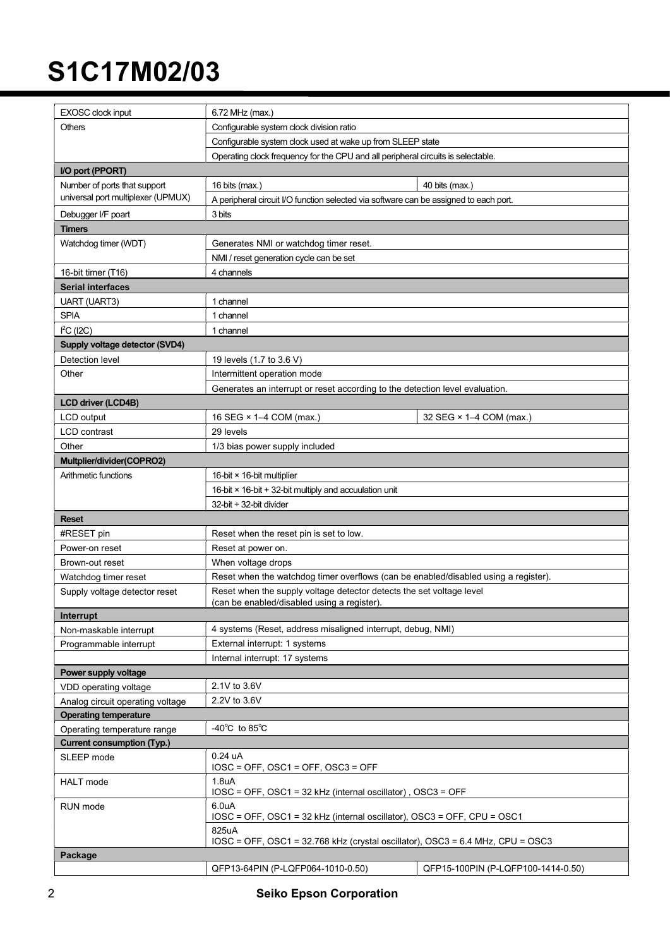| EXOSC clock input                                                                                                                                                           | 6.72 MHz (max.)                                                                       |                                    |         |  |
|-----------------------------------------------------------------------------------------------------------------------------------------------------------------------------|---------------------------------------------------------------------------------------|------------------------------------|---------|--|
| <b>Others</b>                                                                                                                                                               | Configurable system clock division ratio                                              |                                    |         |  |
|                                                                                                                                                                             | Configurable system clock used at wake up from SLEEP state                            |                                    |         |  |
|                                                                                                                                                                             | Operating clock frequency for the CPU and all peripheral circuits is selectable.      |                                    |         |  |
| I/O port (PPORT)                                                                                                                                                            |                                                                                       |                                    |         |  |
| Number of ports that support                                                                                                                                                | 16 bits (max.)                                                                        | 40 bits (max.)                     |         |  |
| universal port multiplexer (UPMUX)                                                                                                                                          | A peripheral circuit I/O function selected via software can be assigned to each port. |                                    |         |  |
| Debugger I/F poart                                                                                                                                                          | 3 bits                                                                                |                                    |         |  |
| <b>Timers</b>                                                                                                                                                               |                                                                                       |                                    |         |  |
| Watchdog timer (WDT)                                                                                                                                                        | Generates NMI or watchdog timer reset.                                                |                                    |         |  |
|                                                                                                                                                                             | NMI / reset generation cycle can be set                                               |                                    |         |  |
| 16-bit timer (T16)                                                                                                                                                          | 4 channels                                                                            |                                    |         |  |
| <b>Serial interfaces</b>                                                                                                                                                    |                                                                                       |                                    |         |  |
| <b>UART (UART3)</b>                                                                                                                                                         | 1 channel                                                                             |                                    |         |  |
| <b>SPIA</b>                                                                                                                                                                 | 1 channel                                                                             |                                    |         |  |
|                                                                                                                                                                             |                                                                                       |                                    |         |  |
| $l^2C(12C)$                                                                                                                                                                 | 1 channel                                                                             |                                    |         |  |
| Supply voltage detector (SVD4)                                                                                                                                              |                                                                                       |                                    |         |  |
| Detection level                                                                                                                                                             | 19 levels (1.7 to 3.6 V)                                                              |                                    |         |  |
| Other                                                                                                                                                                       | Intermittent operation mode                                                           |                                    |         |  |
|                                                                                                                                                                             | Generates an interrupt or reset according to the detection level evaluation.          |                                    |         |  |
| <b>LCD driver (LCD4B)</b>                                                                                                                                                   |                                                                                       |                                    |         |  |
| <b>LCD</b> output                                                                                                                                                           | 16 SEG × 1-4 COM (max.)                                                               | 32 SEG × 1-4 COM (max.)            |         |  |
| <b>LCD</b> contrast                                                                                                                                                         | 29 levels                                                                             |                                    |         |  |
| Other                                                                                                                                                                       | 1/3 bias power supply included                                                        |                                    |         |  |
| Multplier/divider(COPRO2)                                                                                                                                                   |                                                                                       |                                    |         |  |
| Arithmetic functions                                                                                                                                                        | 16-bit $\times$ 16-bit multiplier                                                     |                                    |         |  |
|                                                                                                                                                                             | 16-bit × 16-bit + 32-bit multiply and accuulation unit                                |                                    |         |  |
|                                                                                                                                                                             | 32-bit $\div$ 32-bit divider                                                          |                                    |         |  |
| <b>Reset</b>                                                                                                                                                                |                                                                                       |                                    |         |  |
| #RESET pin                                                                                                                                                                  | Reset when the reset pin is set to low.                                               |                                    |         |  |
| Power-on reset                                                                                                                                                              | Reset at power on.                                                                    |                                    |         |  |
| Brown-out reset                                                                                                                                                             | When voltage drops                                                                    |                                    |         |  |
| Watchdog timer reset                                                                                                                                                        | Reset when the watchdog timer overflows (can be enabled/disabled using a register).   |                                    |         |  |
| Supply voltage detector reset                                                                                                                                               | Reset when the supply voltage detector detects the set voltage level                  |                                    |         |  |
|                                                                                                                                                                             | (can be enabled/disabled using a register).                                           |                                    |         |  |
| Interrupt                                                                                                                                                                   | 4 systems (Reset, address misaligned interrupt, debug, NMI)                           |                                    |         |  |
| Non-maskable interrupt                                                                                                                                                      | External interrupt: 1 systems                                                         |                                    |         |  |
| Programmable interrupt                                                                                                                                                      |                                                                                       |                                    |         |  |
|                                                                                                                                                                             | Internal interrupt: 17 systems                                                        |                                    |         |  |
| Power supply voltage                                                                                                                                                        |                                                                                       |                                    |         |  |
| VDD operating voltage                                                                                                                                                       | 2.1V to 3.6V                                                                          |                                    |         |  |
| Analog circuit operating voltage                                                                                                                                            | 2.2V to 3.6V                                                                          |                                    |         |  |
| <b>Operating temperature</b>                                                                                                                                                |                                                                                       |                                    |         |  |
| Operating temperature range                                                                                                                                                 | -40 $^{\circ}$ C to 85 $^{\circ}$ C                                                   |                                    |         |  |
| <b>Current consumption (Typ.)</b>                                                                                                                                           | 0.24 uA                                                                               |                                    |         |  |
| SLEEP mode                                                                                                                                                                  | $IOSC = OFF$ , $OSC1 = OFF$ , $OSC3 = OFF$                                            |                                    |         |  |
| <b>HALT</b> mode                                                                                                                                                            | 1.8 <sub>u</sub> A                                                                    |                                    |         |  |
|                                                                                                                                                                             | IOSC = OFF, OSC1 = 32 kHz (internal oscillator), OSC3 = OFF                           |                                    |         |  |
| RUN mode                                                                                                                                                                    | 6.0uA                                                                                 |                                    |         |  |
| IOSC = OFF, OSC1 = 32 kHz (internal oscillator), OSC3 = OFF, CPU = OSC1<br>825uA<br>$IOSC = OFF$ , $OSC1 = 32.768$ kHz (crystal oscillator), $OSC3 = 6.4$ MHz, CPU = $OSC3$ |                                                                                       |                                    |         |  |
|                                                                                                                                                                             |                                                                                       |                                    | Package |  |
|                                                                                                                                                                             | QFP13-64PIN (P-LQFP064-1010-0.50)                                                     | QFP15-100PIN (P-LQFP100-1414-0.50) |         |  |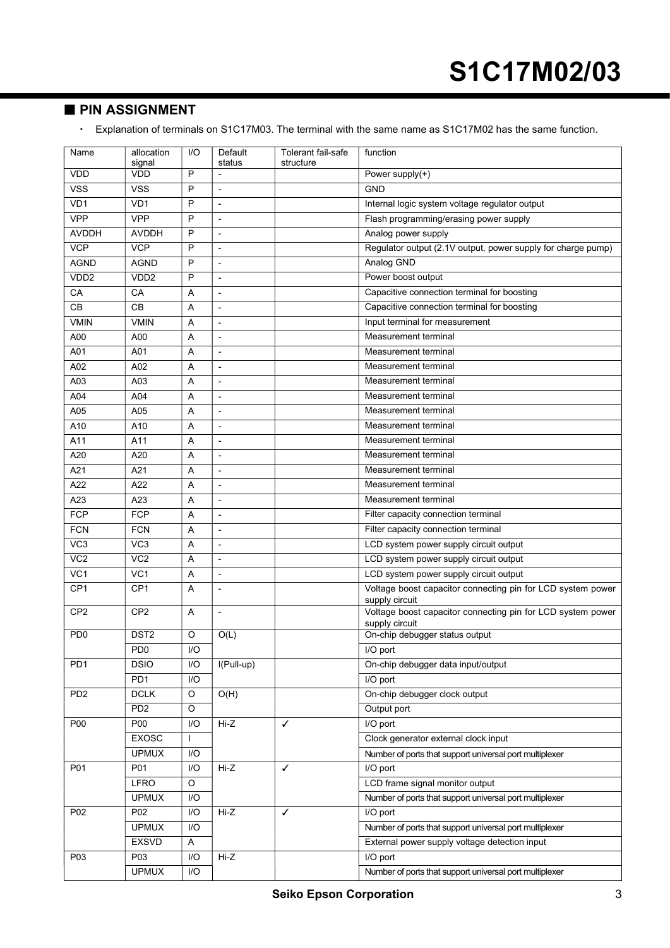#### **PIN ASSIGNMENT**

Explanation of terminals on S1C17M03. The terminal with the same name as S1C17M02 has the same function.

| Name             | allocation       | I/O              | Default                      | Tolerant fail-safe | function                                                                      |  |
|------------------|------------------|------------------|------------------------------|--------------------|-------------------------------------------------------------------------------|--|
| <b>VDD</b>       | signal<br>VDD    | P                | status                       | structure          | Power supply(+)                                                               |  |
| <b>VSS</b>       | <b>VSS</b>       | P                | $\blacksquare$               |                    | <b>GND</b>                                                                    |  |
| VD1              | VD <sub>1</sub>  | P                | $\overline{a}$               |                    | Internal logic system voltage regulator output                                |  |
| <b>VPP</b>       | <b>VPP</b>       | P                | L,                           |                    | Flash programming/erasing power supply                                        |  |
| <b>AVDDH</b>     | <b>AVDDH</b>     | P                | $\qquad \qquad \blacksquare$ |                    | Analog power supply                                                           |  |
| <b>VCP</b>       | <b>VCP</b>       | P                | ÷                            |                    | Regulator output (2.1V output, power supply for charge pump)                  |  |
| <b>AGND</b>      | <b>AGND</b>      | P                | $\overline{a}$               |                    | Analog GND                                                                    |  |
| VDD <sub>2</sub> | VDD <sub>2</sub> | P                | $\overline{a}$               |                    | Power boost output                                                            |  |
| CA               | CA               | A                | L,                           |                    | Capacitive connection terminal for boosting                                   |  |
| CB               | CВ               | Α                | $\qquad \qquad \blacksquare$ |                    | Capacitive connection terminal for boosting                                   |  |
| <b>VMIN</b>      | <b>VMIN</b>      | Α                | $\qquad \qquad \blacksquare$ |                    | Input terminal for measurement                                                |  |
| A00              | A00              | Α                | $\overline{a}$               |                    | Measurement terminal                                                          |  |
| A01              | A01              | $\overline{A}$   | ٠                            |                    | Measurement terminal                                                          |  |
| A02              | A02              | A                | $\overline{a}$               |                    | Measurement terminal                                                          |  |
| A03              | A03              | Α                | ٠                            |                    | Measurement terminal                                                          |  |
| A04              | A04              | A                | $\frac{1}{2}$                |                    | Measurement terminal                                                          |  |
| A05              | A05              | Α                | $\overline{a}$               |                    | Measurement terminal                                                          |  |
| A10              | A10              | A                | $\qquad \qquad \blacksquare$ |                    | Measurement terminal                                                          |  |
| A11              | A11              | A                | ٠                            |                    | Measurement terminal                                                          |  |
| A20              | A20              | Α                | ٠                            |                    | Measurement terminal                                                          |  |
| A21              | A21              | Α                | $\frac{1}{2}$                |                    | Measurement terminal                                                          |  |
| A22              | A22              | Α                | ٠                            |                    | Measurement terminal                                                          |  |
| A23              | A23              | A                | $\frac{1}{2}$                |                    | Measurement terminal                                                          |  |
| FCP              | FCP              | $\overline{A}$   | $\overline{\phantom{0}}$     |                    | Filter capacity connection terminal                                           |  |
| <b>FCN</b>       | <b>FCN</b>       | A                | L,                           |                    | Filter capacity connection terminal                                           |  |
| VC <sub>3</sub>  | VC <sub>3</sub>  | Α                | $\qquad \qquad \blacksquare$ |                    | LCD system power supply circuit output                                        |  |
| VC <sub>2</sub>  | VC <sub>2</sub>  | A                | ÷                            |                    | LCD system power supply circuit output                                        |  |
| VC1              | VC <sub>1</sub>  | Α                | $\frac{1}{2}$                |                    | LCD system power supply circuit output                                        |  |
| CP <sub>1</sub>  | CP <sub>1</sub>  | A                | $\overline{a}$               |                    | Voltage boost capacitor connecting pin for LCD system power                   |  |
|                  |                  |                  |                              |                    | supply circuit                                                                |  |
| CP <sub>2</sub>  | CP <sub>2</sub>  | A                | $\qquad \qquad \blacksquare$ |                    | Voltage boost capacitor connecting pin for LCD system power<br>supply circuit |  |
| PD <sub>0</sub>  | DST <sub>2</sub> | O                | O(L)                         |                    | On-chip debugger status output                                                |  |
|                  | PD <sub>0</sub>  | $\overline{1/O}$ |                              |                    | $\overline{I/O}$ port                                                         |  |
| PD <sub>1</sub>  | <b>DSIO</b>      | I/O              | I(Pull-up)                   |                    | On-chip debugger data input/output                                            |  |
|                  | PD <sub>1</sub>  | I/O              |                              |                    | I/O port                                                                      |  |
| PD <sub>2</sub>  | <b>DCLK</b>      | O                | O(H)                         |                    | On-chip debugger clock output                                                 |  |
|                  | PD <sub>2</sub>  | O                |                              |                    | Output port                                                                   |  |
| <b>P00</b>       | P00              | I/O              | Hi-Z                         | $\checkmark$       | I/O port                                                                      |  |
|                  | <b>EXOSC</b>     | $\mathbf{I}$     |                              |                    | Clock generator external clock input                                          |  |
|                  | <b>UPMUX</b>     | I/O              |                              |                    | Number of ports that support universal port multiplexer                       |  |
| P01              | P01              | I/O              | Hi-Z                         | ✓                  | I/O port                                                                      |  |
|                  | <b>LFRO</b>      | O                |                              |                    | LCD frame signal monitor output                                               |  |
|                  | <b>UPMUX</b>     | I/O              |                              |                    | Number of ports that support universal port multiplexer                       |  |
| P02              | P02              | I/O              | Hi-Z                         | $\checkmark$       | I/O port                                                                      |  |
|                  | <b>UPMUX</b>     | I/O              |                              |                    | Number of ports that support universal port multiplexer                       |  |
|                  | <b>EXSVD</b>     | A                |                              |                    | External power supply voltage detection input                                 |  |
| P03              | P03              | I/O              | Hi-Z                         |                    | I/O port                                                                      |  |
|                  | <b>UPMUX</b>     | I/O              |                              |                    | Number of ports that support universal port multiplexer                       |  |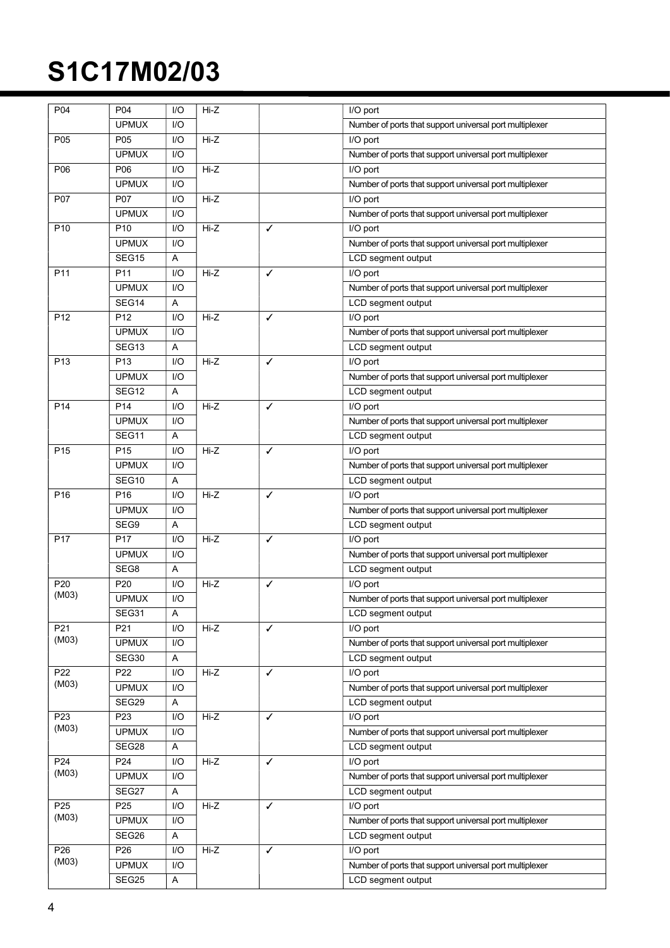| P04             | P04               | I/O | Hi-Z   |              | I/O port                                                |
|-----------------|-------------------|-----|--------|--------------|---------------------------------------------------------|
|                 | <b>UPMUX</b>      | 1/O |        |              | Number of ports that support universal port multiplexer |
| P05             | P05               | I/O | Hi-Z   |              | I/O port                                                |
|                 | <b>UPMUX</b>      | I/O |        |              | Number of ports that support universal port multiplexer |
| P06             | P06               | I/O | Hi-Z   |              | I/O port                                                |
|                 | <b>UPMUX</b>      | I/O |        |              | Number of ports that support universal port multiplexer |
| P07             | P07               | I/O | Hi-Z   |              | I/O port                                                |
|                 | <b>UPMUX</b>      | I/O |        |              | Number of ports that support universal port multiplexer |
| P10             | P <sub>10</sub>   | I/O | Hi-Z   | ✓            | I/O port                                                |
|                 | <b>UPMUX</b>      | I/O |        |              | Number of ports that support universal port multiplexer |
|                 | SEG15             | Α   |        |              | LCD segment output                                      |
| P11             | P11               | I/O | Hi-Z   | $\checkmark$ | I/O port                                                |
|                 | <b>UPMUX</b>      | I/O |        |              | Number of ports that support universal port multiplexer |
|                 | SEG14             | A   |        |              | LCD segment output                                      |
| P <sub>12</sub> | P <sub>12</sub>   | I/O | Hi-Z   | $\checkmark$ | I/O port                                                |
|                 | <b>UPMUX</b>      | 1/O |        |              | Number of ports that support universal port multiplexer |
|                 | SEG <sub>13</sub> | Α   |        |              | LCD segment output                                      |
| P13             | P <sub>13</sub>   | I/O | Hi-Z   | $\checkmark$ | I/O port                                                |
|                 | <b>UPMUX</b>      | I/O |        |              | Number of ports that support universal port multiplexer |
|                 | SEG12             | Α   |        |              | LCD segment output                                      |
| P <sub>14</sub> | P14               | I/O | Hi-Z   | $\checkmark$ | I/O port                                                |
|                 | <b>UPMUX</b>      | I/O |        |              | Number of ports that support universal port multiplexer |
|                 | SEG11             | Α   |        |              | LCD segment output                                      |
| P <sub>15</sub> | P <sub>15</sub>   | 1/O | Hi-Z   | ✓            | I/O port                                                |
|                 | <b>UPMUX</b>      | I/O |        |              | Number of ports that support universal port multiplexer |
|                 | SEG10             | Α   |        |              | LCD segment output                                      |
| P16             | P <sub>16</sub>   | I/O | Hi-Z   | ✓            | I/O port                                                |
|                 | <b>UPMUX</b>      | I/O |        |              | Number of ports that support universal port multiplexer |
|                 | SEG9              | A   |        |              | LCD segment output                                      |
| P <sub>17</sub> | P17               | I/O | Hi-Z   | ✓            | I/O port                                                |
|                 | <b>UPMUX</b>      | I/O |        |              | Number of ports that support universal port multiplexer |
|                 | SEG8              | Α   |        |              | LCD segment output                                      |
| P20             | P20               | I/O | Hi-Z   | ✓            | I/O port                                                |
| (M03)           | <b>UPMUX</b>      | I/O |        |              | Number of ports that support universal port multiplexer |
|                 | SEG31             | A   |        |              | LCD segment output                                      |
| P <sub>21</sub> | P21               | I/O | Hi-Z   | $\checkmark$ | I/O port                                                |
| (M03)           | <b>UPMUX</b>      | I/O |        |              | Number of ports that support universal port multiplexer |
|                 | SEG30             | A   |        |              | LCD segment output                                      |
| P22             | P22               | I/O | Hi-Z   | ✓            | I/O port                                                |
| (M03)           | <b>UPMUX</b>      | I/O |        |              | Number of ports that support universal port multiplexer |
|                 | SEG29             | A   |        |              | LCD segment output                                      |
| P <sub>23</sub> | P <sub>23</sub>   | I/O | Hi-Z   | $\checkmark$ | I/O port                                                |
| (M03)           | <b>UPMUX</b>      | I/O |        |              | Number of ports that support universal port multiplexer |
|                 | SEG28             | A   |        |              | LCD segment output                                      |
| P24             | P24               | I/O | Hi-Z   | ✓            | I/O port                                                |
| (M03)           | <b>UPMUX</b>      | I/O |        |              | Number of ports that support universal port multiplexer |
|                 | SEG27             | A   |        |              | LCD segment output                                      |
| P <sub>25</sub> | P <sub>25</sub>   | I/O | $Hi-Z$ | ✓            | I/O port                                                |
| (M03)           | <b>UPMUX</b>      | I/O |        |              | Number of ports that support universal port multiplexer |
|                 | SEG26             | A   |        |              | LCD segment output                                      |
| P26             | P26               | I/O | Hi-Z   | $\checkmark$ | I/O port                                                |
| (M03)           | <b>UPMUX</b>      | I/O |        |              | Number of ports that support universal port multiplexer |
|                 | SEG25             | A   |        |              | LCD segment output                                      |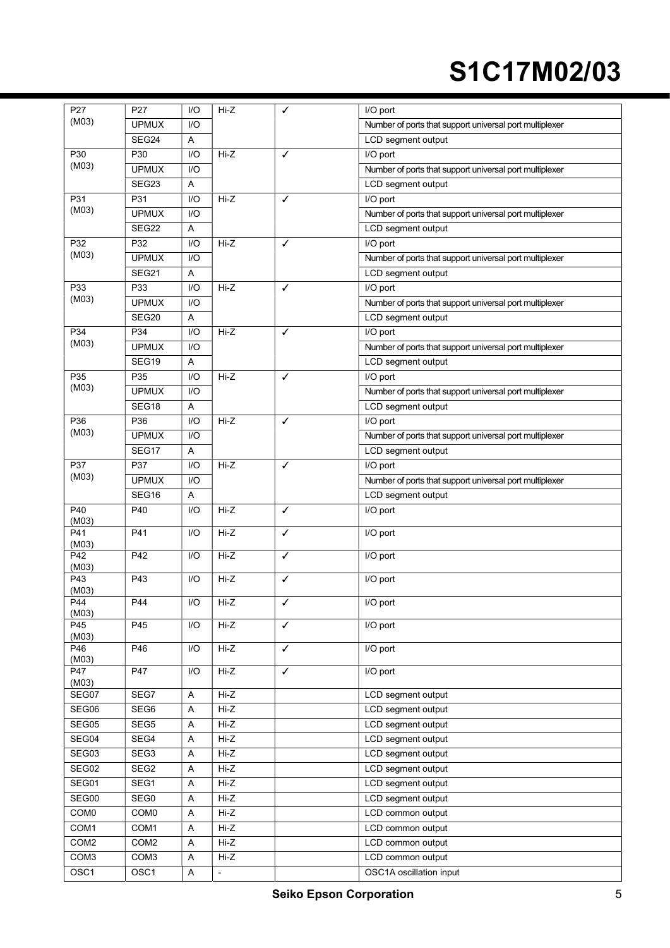| P27                 | P27              | I/O | Hi-Z                     | ✓            | I/O port                                                |
|---------------------|------------------|-----|--------------------------|--------------|---------------------------------------------------------|
| (M03)               | <b>UPMUX</b>     | I/O |                          |              | Number of ports that support universal port multiplexer |
|                     | SEG24            | Α   |                          |              | LCD segment output                                      |
| P30                 | P30              | I/O | Hi-Z                     | $\checkmark$ | I/O port                                                |
| (M03)               | <b>UPMUX</b>     | I/O |                          |              | Number of ports that support universal port multiplexer |
|                     | SEG23            | Α   |                          |              | LCD segment output                                      |
| P31                 | P31              | I/O | Hi-Z<br>✓                |              | I/O port                                                |
| (M03)               | <b>UPMUX</b>     | I/O |                          |              | Number of ports that support universal port multiplexer |
|                     | SEG22            | Α   |                          |              | LCD segment output                                      |
| P32                 | P32              | I/O | Hi-Z                     | $\checkmark$ | I/O port                                                |
| (M03)               | <b>UPMUX</b>     | I/O |                          |              | Number of ports that support universal port multiplexer |
|                     | SEG21            | A   |                          |              | LCD segment output                                      |
| P33                 | P33              | I/O | Hi-Z                     | $\checkmark$ | I/O port                                                |
| (M03)               | <b>UPMUX</b>     | I/O |                          |              | Number of ports that support universal port multiplexer |
|                     | SEG20            | A   |                          |              | LCD segment output                                      |
| P34                 | P34              | I/O | Hi-Z                     | ✓            | I/O port                                                |
| (M03)               | <b>UPMUX</b>     | I/O |                          |              |                                                         |
|                     |                  |     |                          |              | Number of ports that support universal port multiplexer |
|                     | SEG19            | Α   |                          |              | LCD segment output                                      |
| P35<br>(M03)        | P35              | I/O | Hi-Z                     | $\checkmark$ | I/O port                                                |
|                     | <b>UPMUX</b>     | I/O |                          |              | Number of ports that support universal port multiplexer |
|                     | SEG18            | Α   |                          |              | LCD segment output                                      |
| P36                 | P36              | I/O | Hi-Z                     | $\checkmark$ | I/O port                                                |
| (M03)               | <b>UPMUX</b>     | I/O |                          |              | Number of ports that support universal port multiplexer |
|                     | SEG17            | Α   |                          |              | LCD segment output                                      |
| P37                 | P37              | I/O | Hi-Z                     | $\checkmark$ | I/O port                                                |
| (M03)               | <b>UPMUX</b>     | I/O |                          |              | Number of ports that support universal port multiplexer |
|                     | SEG16            | A   |                          |              | LCD segment output                                      |
| P40<br>(M03)        | P40              | I/O | Hi-Z                     | $\checkmark$ | I/O port                                                |
| P41<br>(M03)        | P41              | I/O | Hi-Z                     | $\checkmark$ | I/O port                                                |
| P42<br>(M03)        | P42              | I/O | Hi-Z                     | ✓            | I/O port                                                |
| P43<br>(M03)        | P43              | I/O | Hi-Z                     | ✓            | I/O port                                                |
| P44<br>(M03)        | P44              | I/O | Hi-Z                     | ✓            | I/O port                                                |
| P45<br>(M03)        | P45              | I/O | Hi-Z                     | ✓            | I/O port                                                |
| P46<br>(M03)        | P46              | I/O | Hi-Z                     | $\checkmark$ | I/O port                                                |
| <b>P47</b><br>(M03) | P47              | I/O | Hi-Z                     | $\checkmark$ | I/O port                                                |
| SEG07               | SEG7             | Α   | Hi-Z                     |              | LCD segment output                                      |
| SEG06               | SEG6             | Α   | Hi-Z                     |              | LCD segment output                                      |
| SEG05               | SEG5             | Α   | Hi-Z                     |              | LCD segment output                                      |
| SEG04               | SEG4             | Α   | Hi-Z                     |              | LCD segment output                                      |
| SEG03               | SEG3             | Α   | Hi-Z                     |              | LCD segment output                                      |
| SEG02               | SEG2             | Α   | Hi-Z                     |              | LCD segment output                                      |
| SEG01               | SEG1             | A   | Hi-Z                     |              | LCD segment output                                      |
| SEG00               | SEG0             | A   | Hi-Z                     |              | LCD segment output                                      |
| COM <sub>0</sub>    | COM <sub>0</sub> | Α   | Hi-Z                     |              | LCD common output                                       |
| COM1                | COM1             | Α   | $Hi-Z$                   |              | LCD common output                                       |
| COM <sub>2</sub>    | COM <sub>2</sub> | Α   | Hi-Z                     |              | LCD common output                                       |
| COM <sub>3</sub>    | COM <sub>3</sub> | Α   | Hi-Z                     |              | LCD common output                                       |
| OSC1                | OSC1             | Α   | $\overline{\phantom{a}}$ |              | OSC1A oscillation input                                 |
|                     |                  |     |                          |              |                                                         |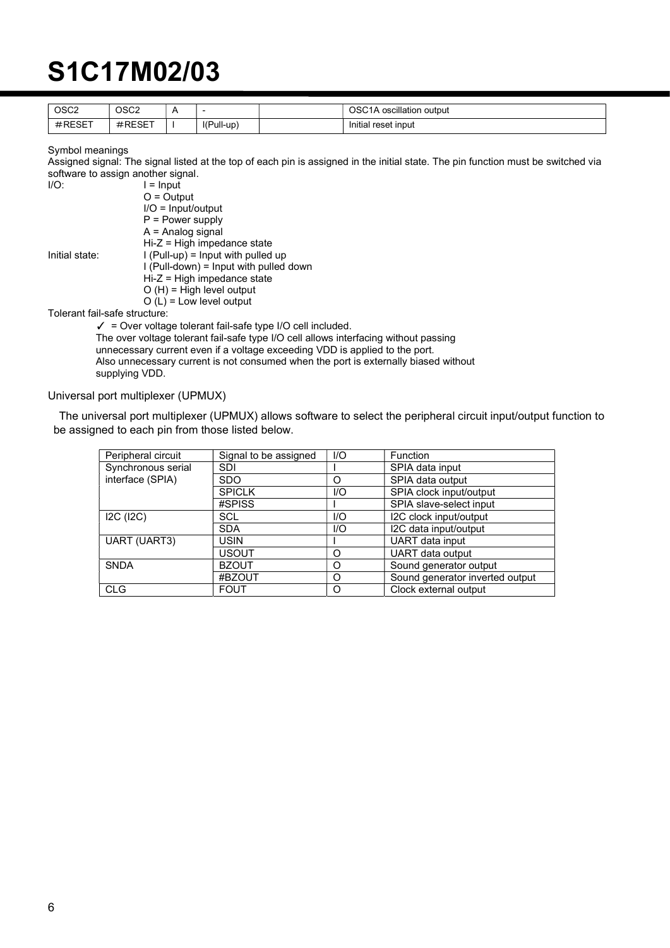| OSC <sub>2</sub> | OSC <sub>2</sub> |            | OSC <sub>1</sub> A<br>Moscillation output ، |
|------------------|------------------|------------|---------------------------------------------|
| $#$ RESET        | <b>#RESET</b>    | l(Pull-up) | $\cdots$<br>Initial reset input             |

Symbol meanings

Assigned signal: The signal listed at the top of each pin is assigned in the initial state. The pin function must be switched via software to assign another signal.

| I/O:                          | $l =$ Input                                                            |
|-------------------------------|------------------------------------------------------------------------|
|                               | $O =$ Output                                                           |
|                               | $I/O = Input/output$                                                   |
|                               | $P = Power$ supply                                                     |
|                               | $A =$ Analog signal                                                    |
|                               | $Hi-Z = High$ impedance state                                          |
| Initial state:                | $I$ (Pull-up) = Input with pulled up                                   |
|                               | $I$ (Pull-down) = Input with pulled down                               |
|                               | $Hi-Z = High$ impedance state                                          |
|                               | $O(H)$ = High level output                                             |
|                               | $O(L)$ = Low level output                                              |
| Tolerant fail-safe structure: |                                                                        |
|                               | $\checkmark$ = Over voltage tolerant fail-safe type I/O cell included. |
|                               |                                                                        |

The over voltage tolerant fail-safe type I/O cell allows interfacing without passing unnecessary current even if a voltage exceeding VDD is applied to the port. Also unnecessary current is not consumed when the port is externally biased without supplying VDD.

Universal port multiplexer (UPMUX)

The universal port multiplexer (UPMUX) allows software to select the peripheral circuit input/output function to be assigned to each pin from those listed below.

| Peripheral circuit  | Signal to be assigned | 1/O | Function                        |  |
|---------------------|-----------------------|-----|---------------------------------|--|
| Synchronous serial  | <b>SDI</b>            |     | SPIA data input                 |  |
| interface (SPIA)    | <b>SDO</b>            | Ω   | SPIA data output                |  |
|                     | <b>SPICLK</b>         | 1/O | SPIA clock input/output         |  |
|                     | #SPISS                |     | SPIA slave-select input         |  |
| I2C (I2C)           | SCL                   | 1/O | I2C clock input/output          |  |
|                     | <b>SDA</b>            | I/O | I2C data input/output           |  |
| <b>UART (UART3)</b> | <b>USIN</b>           |     | UART data input                 |  |
|                     | <b>USOUT</b>          | O   | UART data output                |  |
| <b>SNDA</b>         | <b>BZOUT</b>          | O   | Sound generator output          |  |
|                     | #BZOUT                | O   | Sound generator inverted output |  |
| <b>CLG</b>          | <b>FOUT</b>           | Ω   | Clock external output           |  |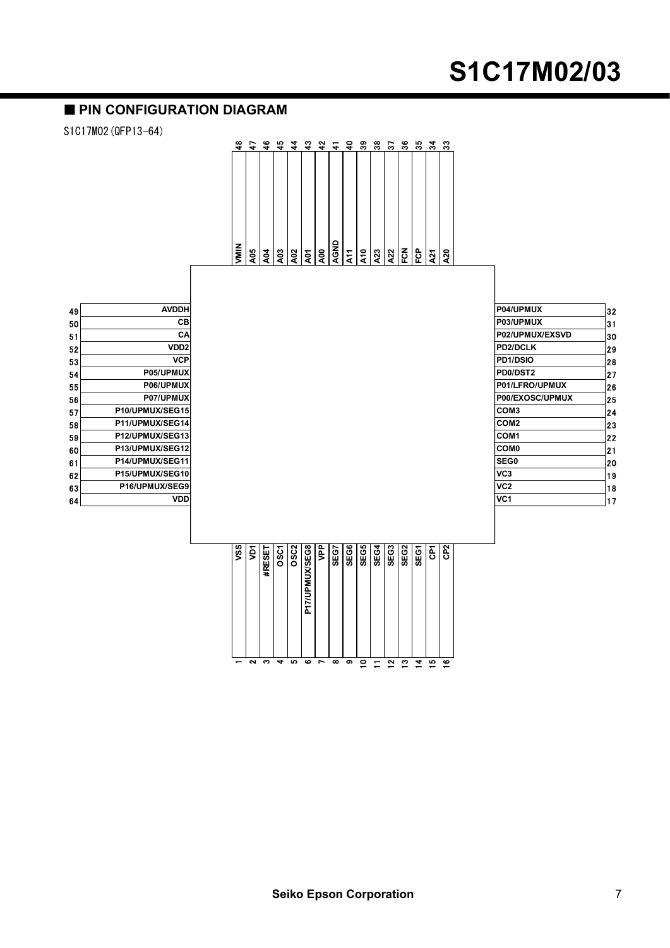#### **PIN CONFIGURATION DIAGRAM**

S1C17M02(QFP13-64)



| 49 | <b>AVDDH</b>          |
|----|-----------------------|
| 50 | CВ                    |
| 51 | CА                    |
| 52 | VDD2                  |
| 53 | VCP                   |
| 54 | <b>P05/UPMUX</b>      |
| 55 | <b>P06/UPMUX</b>      |
| 56 | P07/UPMUX             |
| 57 | P10/UPMUX/SEG15       |
| 58 | P11/UPMUX/SEG14       |
| 59 | P12/UPMUX/SEG13       |
| 60 | P13/UPMUX/SEG12       |
| 61 | P14/UPMUX/SEG11       |
| 62 | P15/UPMUX/SEG10       |
| 63 | <b>P16/UPMUX/SEG9</b> |
| 64 | VDD                   |

|          | SSV            |
|----------|----------------|
| ີ        | ğ              |
| ຶ        | #RESE          |
| ÷        | <b>OSCT</b>    |
| P        | <b>OSC2</b>    |
| œ        | P17/UPMUX/SEG8 |
| ∼        | ፪              |
| $\infty$ | SEG7           |
| ໑        | SEG6           |
| 0        | SEG5           |
|          | 3<br>₩         |
| ີ        | SEG3           |
| ო        | SEG2           |
| ٠        | <b>SEGY</b>    |
| ω        | έ              |
| ဇာ       | 62<br>CP2      |
|          |                |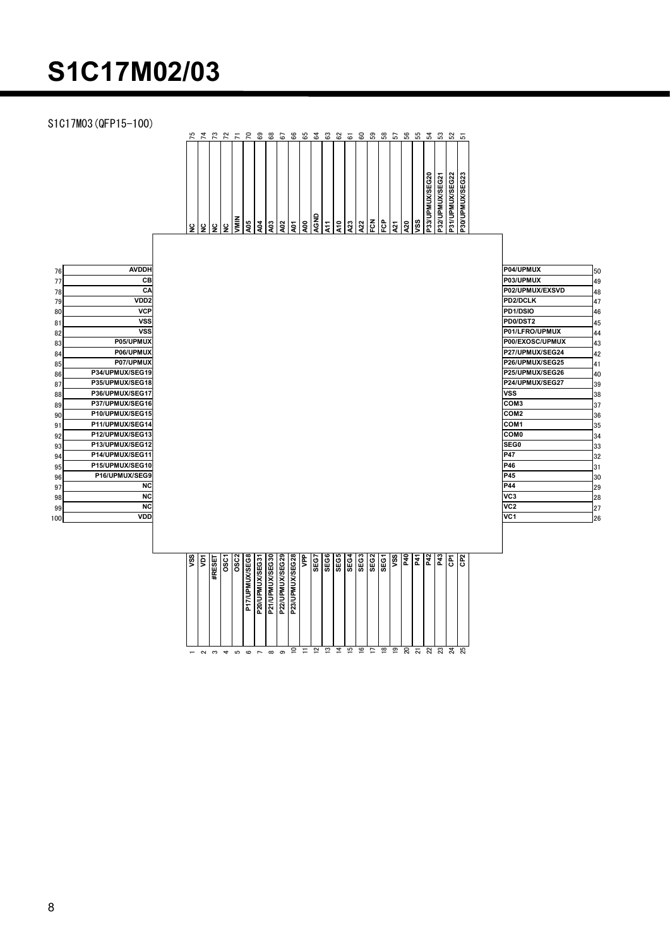S1C17M03(QFP15-100)

|                                                                                                                                              | S1C17M02/03                                                                                                                                                                                                                                                                                                                                                                                                |                                                                                                                    |                                                                                                                                                                                                                                                                                   |                                                                                                                                              |
|----------------------------------------------------------------------------------------------------------------------------------------------|------------------------------------------------------------------------------------------------------------------------------------------------------------------------------------------------------------------------------------------------------------------------------------------------------------------------------------------------------------------------------------------------------------|--------------------------------------------------------------------------------------------------------------------|-----------------------------------------------------------------------------------------------------------------------------------------------------------------------------------------------------------------------------------------------------------------------------------|----------------------------------------------------------------------------------------------------------------------------------------------|
|                                                                                                                                              | 1C17M03 (QFP15-100)                                                                                                                                                                                                                                                                                                                                                                                        | <b>P33/UPMUX/SEG20<br/>P32/UPMUX/SEG21</b><br>P31/UPMUX/SEG22<br>P30/UPMUX/SEG23<br>। <u>प्रैं प्रैं हैं</u><br>बा |                                                                                                                                                                                                                                                                                   |                                                                                                                                              |
| 76<br>77<br>78<br>79<br>80<br>81<br>82<br>83<br>84<br>85<br>86<br>87<br>88<br>89<br>90<br>91<br>92<br>93<br>94<br>95<br>96<br>97<br>98<br>99 | <b>AVDDH</b><br>C <sub>B</sub><br>CA<br>VDD <sub>2</sub><br><b>VCP</b><br>vssl<br><b>VSS</b><br>P05/UPMUX<br>P06/UPMUX<br>P07/UPMUX<br>P34/UPMUX/SEG19<br>P35/UPMUX/SEG18<br>P36/UPMUX/SEG17<br>P37/UPMUX/SEG16<br>P10/UPMUX/SEG15<br>P11/UPMUX/SEG14<br>P12/UPMUX/SEG13<br>P13/UPMUX/SEG12<br>P14/UPMUX/SEG11<br>P15/UPMUX/SEG10<br>P16/UPMUX/SEG9<br><b>NC</b><br>NC<br>N <sub>C</sub><br>$\overline{m}$ | <b>VSS</b><br>P47<br>P46<br>P45<br>P44<br>VC3<br>VC <sub>2</sub><br>$\overline{1104}$                              | P04/UPMUX<br>P03/UPMUX<br>P02/UPMUX/EXSVD<br>PD2/DCLK<br>PD1/DSIO<br>PD0/DST2<br>P01/LFRO/UPMUX<br>P00/EXOSC/UPMUX<br>P27/UPMUX/SEG24<br>P26/UPMUX/SEG25<br>P25/UPMUX/SEG26<br>P24/UPMUX/SEG27<br>COM <sub>3</sub><br>COM <sub>2</sub><br>COM <sub>1</sub><br><b>COMO</b><br>SEG0 | 50<br>49<br>48<br>47<br>46<br>45<br>44<br>43<br>42<br>41<br>40<br>39<br>38<br>37<br>36<br>35<br>34<br>33<br>32<br>31<br>30<br>29<br>28<br>27 |

| 76 | <b>AVDDH</b>     |
|----|------------------|
| 77 | CВ               |
| 78 | CΑ               |
| 79 | VDD <sub>2</sub> |
| 80 | <b>VCP</b>       |
| 81 | VSS              |
| 82 | <b>VSS</b>       |
| 83 | P05/UPMUX        |
| 84 | P06/UPMUX        |
| 85 | P07/UPMUX        |
| 86 | P34/UPMUX/SEG19  |
| 87 | P35/UPMUX/SEG18  |
| 88 | P36/UPMUX/SEG17  |
| 89 | P37/UPMUX/SEG16  |
| 90 | P10/UPMUX/SEG15  |
| 91 | P11/UPMUX/SEG14  |
| 92 | P12/UPMUX/SEG13  |
| 93 | P13/UPMUX/SEG12  |
| 94 | P14/UPMUX/SEG11  |
| 95 | P15/UPMUX/SEG10  |
| 96 | P16/UPMUX/SEG9   |
| 97 | NC               |
| 98 | NC               |
| 99 | NC               |
| 00 | VDI              |
|    |                  |

|                                                                                                                                                                                                                                                                                                                                                                                                                                                                                                                                                                       | P32/UPMUX/SEG21<br>P31/UPMUX/SEG22<br>b33/UPMUX/SEG20<br>P30/UPMUX/SEG23<br><b>AGND</b><br>$\frac{1}{2}$<br>Ιś<br>A05<br>A03<br>A10<br>$\frac{1}{2}$ ହି ।<br><b>A04</b><br>A02<br>80<br>$\frac{1}{2}$<br>A23<br>ySS<br>A22<br>$\frac{5}{2}$<br>l 2<br>¦≌                                                                                                                                  |                                                                                                                                                                                                                                                                                                                                                                                                                                                                                                           |
|-----------------------------------------------------------------------------------------------------------------------------------------------------------------------------------------------------------------------------------------------------------------------------------------------------------------------------------------------------------------------------------------------------------------------------------------------------------------------------------------------------------------------------------------------------------------------|-------------------------------------------------------------------------------------------------------------------------------------------------------------------------------------------------------------------------------------------------------------------------------------------------------------------------------------------------------------------------------------------|-----------------------------------------------------------------------------------------------------------------------------------------------------------------------------------------------------------------------------------------------------------------------------------------------------------------------------------------------------------------------------------------------------------------------------------------------------------------------------------------------------------|
| <b>AVDDH</b><br>76<br>$\overline{CB}$<br>77<br>CA<br>78<br>VDD <sub>2</sub><br>79<br><b>VCP</b><br>80<br><b>VSS</b><br>81<br>$\overline{\text{VSS}}$<br>82<br>P05/UPMUX<br>83<br>P06/UPMUX<br>84<br>P07/UPMUX<br>85<br>P34/UPMUX/SEG19<br>86<br>P35/UPMUX/SEG18<br>87<br>P36/UPMUX/SEG17<br>88<br>P37/UPMUX/SEG16<br>89<br>P10/UPMUX/SEG15<br>90<br>P11/UPMUX/SEG14<br>91<br>P12/UPMUX/SEG13<br>92<br>P13/UPMUX/SEG12<br>93<br>P14/UPMUX/SEG11<br>94<br>P15/UPMUX/SEG10<br>95<br>P16/UPMUX/SEG9<br>96<br><b>NC</b><br>97<br>NC<br>98<br><b>NC</b><br>99<br>VDD<br> 00 |                                                                                                                                                                                                                                                                                                                                                                                           | P04/UPMUX<br>50<br>P03/UPMUX<br>49<br>P02/UPMUX/EXSVD<br>48<br>PD2/DCLK<br>47<br>PD1/DSIO<br>46<br>PD0/DST2<br>45<br>P01/LFRO/UPMUX<br>44<br>P00/EXOSC/UPMUX<br>43<br>P27/UPMUX/SEG24<br>42<br>P26/UPMUX/SEG25<br>41<br>P25/UPMUX/SEG26<br>40<br>P24/UPMUX/SEG27<br>39<br><b>VSS</b><br>38<br>COM3<br>37<br>COM <sub>2</sub><br>36<br>COM1<br>35<br><b>COMO</b><br> 34<br>SEG0<br>33<br>P47<br>32<br>P46<br> 31<br>P45<br>30<br>P44<br>29<br>lvc3<br>28<br>VC <sub>2</sub><br>27<br>VC <sub>1</sub><br>26 |
|                                                                                                                                                                                                                                                                                                                                                                                                                                                                                                                                                                       | P23/UPMUX/SEG28<br><b>SEG6</b><br>SEG5<br>$\sqrt{\frac{2}{3}}$<br>b21/UPMUX/SEG30<br>P22/UPMUX/SEG29<br><b>NPP</b><br>SEG7<br>SEG3<br>SEG <sub>2</sub><br>$\frac{1}{2}$ $\frac{1}{2}$ $\frac{1}{2}$ $\frac{1}{2}$ $\frac{1}{2}$<br><b>SS</b><br><b>OSC2</b><br>P17/UPMUX/SEG8<br>P20/UPMUX/SEG31<br><b>SEG4</b><br>SEG1<br>$\overline{a}$<br>G <sup>2</sup><br>ğ<br><b>OSC1</b><br>#RESET |                                                                                                                                                                                                                                                                                                                                                                                                                                                                                                           |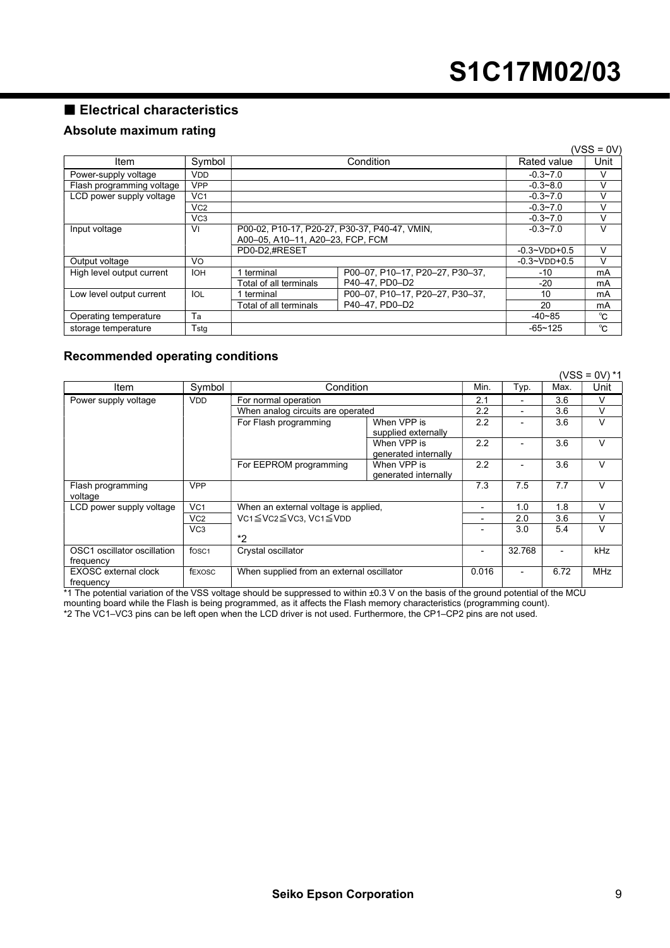### Electrical characteristics

#### Absolute maximum rating

|                                         |                  |                                               |                                 |                    | $(VSS = 0V)$ |
|-----------------------------------------|------------------|-----------------------------------------------|---------------------------------|--------------------|--------------|
| Symbol<br>Item                          |                  | Condition                                     |                                 | Rated value        | Unit         |
| Power-supply voltage                    | <b>VDD</b>       |                                               |                                 | $-0.3 - 7.0$       | v            |
| <b>VPP</b><br>Flash programming voltage |                  |                                               | $-0.3 - 8.0$                    | V                  |              |
| LCD power supply voltage                | VC <sub>1</sub>  |                                               |                                 | $-0.3 - 7.0$       | v            |
|                                         | V <sub>C2</sub>  |                                               |                                 | $-0.3 - 7.0$       | V            |
|                                         | V <sub>C</sub> 3 |                                               |                                 | $-0.3 - 7.0$       | V            |
| Input voltage                           | Vı               | P00-02, P10-17, P20-27, P30-37, P40-47, VMIN, |                                 | $-0.3 - 7.0$       | v            |
|                                         |                  | A00-05, A10-11, A20-23, FCP, FCM              |                                 |                    |              |
|                                         |                  | PD0-D2.#RESET                                 |                                 | $-0.3 - VDD + 0.5$ | v            |
| Output voltage                          | Vo               |                                               |                                 | $-0.3 - VDD + 0.5$ | v            |
| High level output current               | <b>IOH</b>       | 1 terminal                                    | P00-07, P10-17, P20-27, P30-37, | $-10$              | mA           |
|                                         |                  | Total of all terminals                        | P40-47, PD0-D2                  | $-20$              | mA           |
| Low level output current                | IOL              | 1 terminal                                    | P00-07, P10-17, P20-27, P30-37, | 10                 | mA           |
|                                         |                  | Total of all terminals                        | P40-47. PD0-D2                  | 20                 | mA           |
| Operating temperature                   | Ta               |                                               |                                 | $-40 - 85$         | °C           |
| storage temperature                     | Tstg             |                                               |                                 | $-65 - 125$        | °C           |

#### Recommended operating conditions

|                                                                                                 |                 |                                                              |                                     |      |                |      | (VSS = 0V) *1 |
|-------------------------------------------------------------------------------------------------|-----------------|--------------------------------------------------------------|-------------------------------------|------|----------------|------|---------------|
| Item                                                                                            | Symbol          | Condition                                                    |                                     | Min. | Typ.           | Max. | Unit          |
| Power supply voltage                                                                            | <b>VDD</b>      | For normal operation                                         |                                     | 2.1  | $\overline{a}$ | 3.6  | V             |
|                                                                                                 |                 | When analog circuits are operated                            |                                     | 2.2  |                | 3.6  | V             |
|                                                                                                 |                 | For Flash programming                                        | When VPP is<br>supplied externally  | 2.2  | $\blacksquare$ | 3.6  | V             |
|                                                                                                 |                 |                                                              | When VPP is<br>generated internally | 2.2  |                | 3.6  | V             |
|                                                                                                 |                 | For EEPROM programming                                       | When VPP is<br>generated internally | 2.2  |                | 3.6  | V             |
| Flash programming<br>voltage                                                                    | <b>VPP</b>      |                                                              |                                     | 7.3  | 7.5            | 7.7  | $\vee$        |
| LCD power supply voltage                                                                        | VC <sub>1</sub> | When an external voltage is applied,<br>VC1≦VC2≦VC3. VC1≦VDD |                                     |      | 1.0            | 1.8  | v             |
|                                                                                                 | V <sub>C2</sub> |                                                              |                                     |      | 2.0            | 3.6  | V             |
|                                                                                                 | VC <sub>3</sub> | *2                                                           |                                     |      | 3.0            | 5.4  | $\vee$        |
| OSC1 oscillator oscillation<br>fosc <sub>1</sub><br>Crystal oscillator<br>frequency             |                 | $\overline{a}$                                               | 32.768                              |      | kHz            |      |               |
| <b>EXOSC</b> external clock<br>fEXOSC<br>When supplied from an external oscillator<br>frequency |                 | 0.016                                                        | -                                   | 6.72 | <b>MHz</b>     |      |               |

\*1 The potential variation of the VSS voltage should be suppressed to within ±0.3 V on the basis of the ground potential of the MCU mounting board while the Flash is being programmed, as it affects the Flash memory characteristics (programming count).

\*2 The VC1–VC3 pins can be left open when the LCD driver is not used. Furthermore, the CP1–CP2 pins are not used.